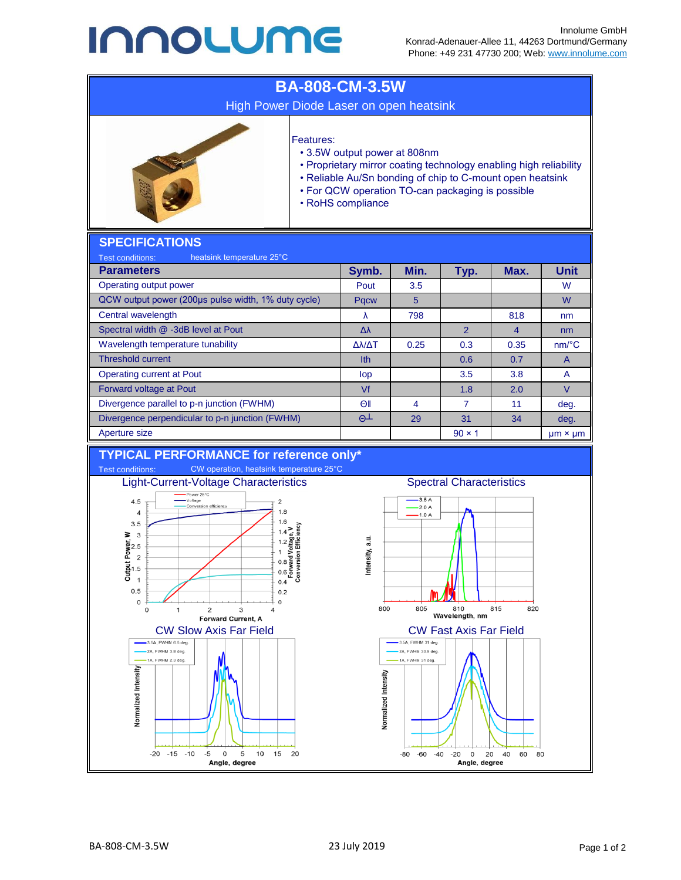## **INNOLUME**